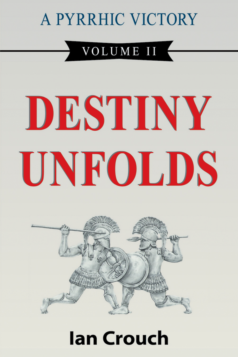# A PYRRHIC VICTORY

# VOLUME II

# DESTINY UNFOLDS



# **Ian Crouch**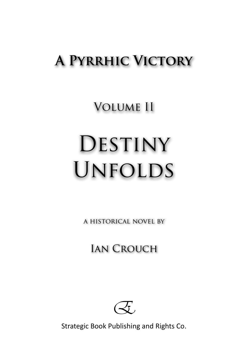## **A Pyrrhic Victory**

## Volume II

# **DESTINY** Unfolds

a historical novel by

Ian Crouch



Strategic Book Publishing and Rights Co.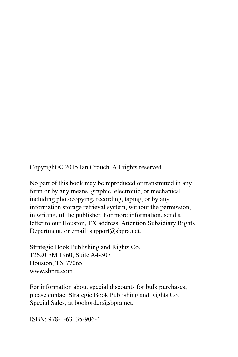Copyright © 2015 Ian Crouch. All rights reserved.

No part of this book may be reproduced or transmitted in any form or by any means, graphic, electronic, or mechanical, including photocopying, recording, taping, or by any information storage retrieval system, without the permission, in writing, of the publisher. For more information, send a letter to our Houston, TX address, Attention Subsidiary Rights Department, or email: support@sbpra.net.

Strategic Book Publishing and Rights Co. 12620 FM 1960, Suite A4-507 Houston, TX 77065 www.sbpra.com

For information about special discounts for bulk purchases, please contact Strategic Book Publishing and Rights Co. Special Sales, at bookorder@sbpra.net.

ISBN: 978-1-63135-906-4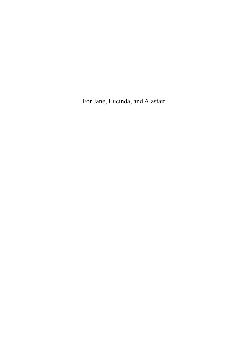For Jane, Lucinda, and Alastair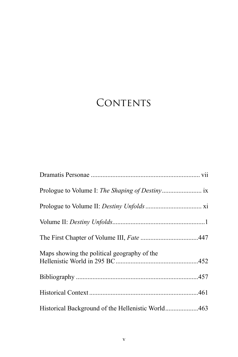## CONTENTS

| Maps showing the political geography of the       |  |
|---------------------------------------------------|--|
|                                                   |  |
|                                                   |  |
|                                                   |  |
| Historical Background of the Hellenistic World463 |  |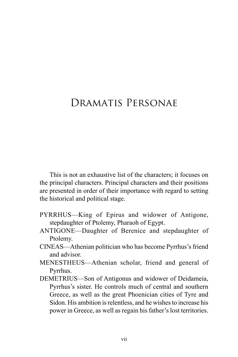### Dramatis Personae

This is not an exhaustive list of the characters; it focuses on the principal characters. Principal characters and their positions are presented in order of their importance with regard to setting the historical and political stage.

- PYRRHUS—King of Epirus and widower of Antigone, stepdaughter of Ptolemy, Pharaoh of Egypt.
- ANTIGONE—Daughter of Berenice and stepdaughter of Ptolemy.
- CINEAS—Athenian politician who has become Pyrrhus's friend and advisor.
- MENESTHEUS—Athenian scholar, friend and general of Pyrrhus.
- DEMETRIUS—Son of Antigonus and widower of Deidameia, Pyrrhus's sister. He controls much of central and southern Greece, as well as the great Phoenician cities of Tyre and Sidon. His ambition is relentless, and he wishes to increase his power in Greece, as well as regain his father's lost territories.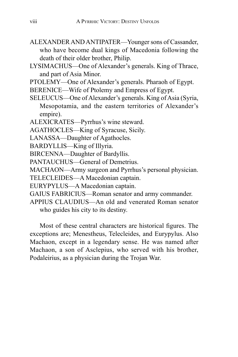- ALEXANDER AND ANTIPATER—Younger sons of Cassander, who have become dual kings of Macedonia following the death of their older brother, Philip.
- LYSIMACHUS—One of Alexander's generals. King of Thrace, and part of Asia Minor.
- PTOLEMY—One of Alexander's generals. Pharaoh of Egypt.
- BERENICE—Wife of Ptolemy and Empress of Egypt.
- SELEUCUS—One of Alexander's generals. King of Asia (Syria, Mesopotamia, and the eastern territories of Alexander's empire).
- ALEXICRATES—Pyrrhus's wine steward.
- AGATHOCLES—King of Syracuse, Sicily.
- LANASSA—Daughter of Agathocles.
- BARDYLLIS—King of Illyria.
- BIRCENNA—Daughter of Bardyllis.
- PANTAUCHUS—General of Demetrius.
- MACHAON—Army surgeon and Pyrrhus's personal physician.
- TELECLEIDES—A Macedonian captain.
- EURYPYLUS—A Macedonian captain.
- GAIUS FABRICIUS—Roman senator and army commander.
- APPIUS CLAUDIUS—An old and venerated Roman senator who guides his city to its destiny.

Most of these central characters are historical figures. The exceptions are; Menestheus, Telecleides, and Eurypylus. Also Machaon, except in a legendary sense. He was named after Machaon, a son of Asclepius, who served with his brother, Podaleirius, as a physician during the Trojan War.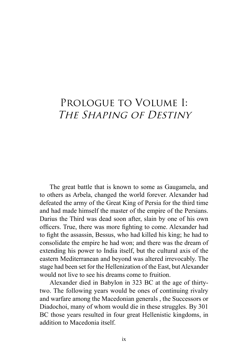## Prologue to Volume I: The Shaping of Destiny

The great battle that is known to some as Gaugamela, and to others as Arbela, changed the world forever. Alexander had defeated the army of the Great King of Persia for the third time and had made himself the master of the empire of the Persians. Darius the Third was dead soon after, slain by one of his own officers. True, there was more fighting to come. Alexander had to fight the assassin, Bessus, who had killed his king; he had to consolidate the empire he had won; and there was the dream of extending his power to India itself, but the cultural axis of the eastern Mediterranean and beyond was altered irrevocably. The stage had been set for the Hellenization of the East, but Alexander would not live to see his dreams come to fruition.

Alexander died in Babylon in 323 BC at the age of thirtytwo. The following years would be ones of continuing rivalry and warfare among the Macedonian generals , the Successors or Diadochoi, many of whom would die in these struggles. By 301 BC those years resulted in four great Hellenistic kingdoms, in addition to Macedonia itself.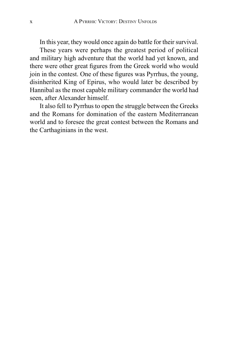In this year, they would once again do battle for their survival.

These years were perhaps the greatest period of political and military high adventure that the world had yet known, and there were other great figures from the Greek world who would join in the contest. One of these figures was Pyrrhus, the young, disinherited King of Epirus, who would later be described by Hannibal as the most capable military commander the world had seen, after Alexander himself.

It also fell to Pyrrhus to open the struggle between the Greeks and the Romans for domination of the eastern Mediterranean world and to foresee the great contest between the Romans and the Carthaginians in the west.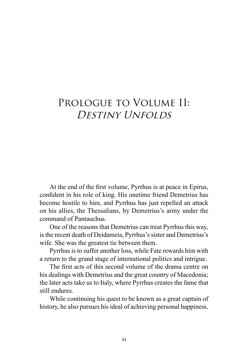## Prologue to Volume II: Destiny Unfolds

At the end of the first volume, Pyrrhus is at peace in Epirus, confident in his role of king. His onetime friend Demetrius has become hostile to him, and Pyrrhus has just repelled an attack on his allies, the Thessalians, by Demetrius's army under the command of Pantauchus.

One of the reasons that Demetrius can treat Pyrrhus this way, is the recent death of Deidameia, Pyrrhus's sister and Demetrius's wife. She was the greatest tie between them.

Pyrrhus is to suffer another loss, while Fate rewards him with a return to the grand stage of international politics and intrigue.

The first acts of this second volume of the drama centre on his dealings with Demetrius and the great country of Macedonia; the later acts take us to Italy, where Pyrrhus creates the fame that still endures.

While continuing his quest to be known as a great captain of history, he also pursues his ideal of achieving personal happiness.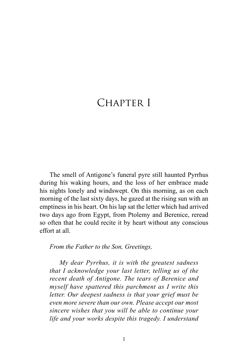### CHAPTER I

The smell of Antigone's funeral pyre still haunted Pyrrhus during his waking hours, and the loss of her embrace made his nights lonely and windswept. On this morning, as on each morning of the last sixty days, he gazed at the rising sun with an emptiness in his heart. On his lap sat the letter which had arrived two days ago from Egypt, from Ptolemy and Berenice, reread so often that he could recite it by heart without any conscious effort at all.

*From the Father to the Son, Greetings,*

*My dear Pyrrhus, it is with the greatest sadness that I acknowledge your last letter, telling us of the recent death of Antigone. The tears of Berenice and myself have spattered this parchment as I write this letter. Our deepest sadness is that your grief must be even more severe than our own. Please accept our most sincere wishes that you will be able to continue your life and your works despite this tragedy. I understand*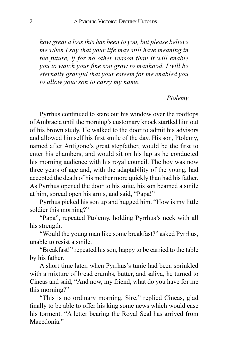*how great a loss this has been to you, but please believe me when I say that your life may still have meaning in the future, if for no other reason than it will enable you to watch your fine son grow to manhood. I will be eternally grateful that your esteem for me enabled you to allow your son to carry my name.*

#### *Ptolemy*

Pyrrhus continued to stare out his window over the rooftops of Ambracia until the morning's customary knock startled him out of his brown study. He walked to the door to admit his advisors and allowed himself his first smile of the day. His son, Ptolemy, named after Antigone's great stepfather, would be the first to enter his chambers, and would sit on his lap as he conducted his morning audience with his royal council. The boy was now three years of age and, with the adaptability of the young, had accepted the death of his mother more quickly than had his father. As Pyrrhus opened the door to his suite, his son beamed a smile at him, spread open his arms, and said, "Papa!"

Pyrrhus picked his son up and hugged him. "How is my little soldier this morning?"

"Papa", repeated Ptolemy, holding Pyrrhus's neck with all his strength.

"Would the young man like some breakfast?" asked Pyrrhus, unable to resist a smile.

"Breakfast!" repeated his son, happy to be carried to the table by his father.

A short time later, when Pyrrhus's tunic had been sprinkled with a mixture of bread crumbs, butter, and saliva, he turned to Cineas and said, "And now, my friend, what do you have for me this morning?"

"This is no ordinary morning, Sire," replied Cineas, glad finally to be able to offer his king some news which would ease his torment. "A letter bearing the Royal Seal has arrived from Macedonia<sup>"</sup>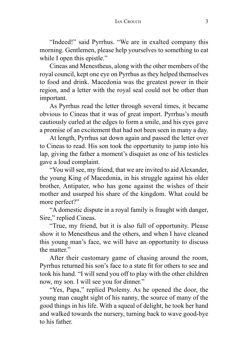#### IAN CROUCH 3

"Indeed!" said Pyrrhus. "We are in exalted company this morning. Gentlemen, please help yourselves to something to eat while I open this epistle."

Cineas and Menestheus, along with the other members of the royal council, kept one eye on Pyrrhus as they helped themselves to food and drink. Macedonia was the greatest power in their region, and a letter with the royal seal could not be other than important.

As Pyrrhus read the letter through several times, it became obvious to Cineas that it was of great import. Pyrrhus's mouth cautiously curled at the edges to form a smile, and his eyes gave a promise of an excitement that had not been seen in many a day.

At length, Pyrrhus sat down again and passed the letter over to Cineas to read. His son took the opportunity to jump into his lap, giving the father a moment's disquiet as one of his testicles gave a loud complaint.

"You will see, my friend, that we are invited to aid Alexander, the young King of Macedonia, in his struggle against his older brother, Antipater, who has gone against the wishes of their mother and usurped his share of the kingdom. What could be more perfect?"

"A domestic dispute in a royal family is fraught with danger, Sire," replied Cineas.

"True, my friend, but it is also full of opportunity. Please show it to Menestheus and the others, and when I have cleaned this young man's face, we will have an opportunity to discuss the matter."

After their customary game of chasing around the room, Pyrrhus returned his son's face to a state fit for others to see and took his hand. "I will send you off to play with the other children now, my son. I will see you for dinner."

"Yes, Papa," replied Ptolemy. As he opened the door, the young man caught sight of his nanny, the source of many of the good things in his life. With a squeal of delight, he took her hand and walked towards the nursery, turning back to wave good-bye to his father.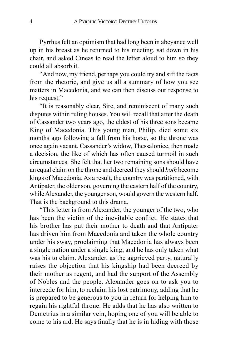Pyrrhus felt an optimism that had long been in abeyance well up in his breast as he returned to his meeting, sat down in his chair, and asked Cineas to read the letter aloud to him so they could all absorb it.

"And now, my friend, perhaps you could try and sift the facts from the rhetoric, and give us all a summary of how you see matters in Macedonia, and we can then discuss our response to his request."

"It is reasonably clear, Sire, and reminiscent of many such disputes within ruling houses. You will recall that after the death of Cassander two years ago, the eldest of his three sons became King of Macedonia. This young man, Philip, died some six months ago following a fall from his horse, so the throne was once again vacant. Cassander's widow, Thessalonice, then made a decision, the like of which has often caused turmoil in such circumstances. She felt that her two remaining sons should have an equal claim on the throne and decreed they should *both* become kings of Macedonia. As a result, the country was partitioned, with Antipater, the older son, governing the eastern half of the country, while Alexander, the younger son, would govern the western half. That is the background to this drama.

"This letter is from Alexander, the younger of the two, who has been the victim of the inevitable conflict. He states that his brother has put their mother to death and that Antipater has driven him from Macedonia and taken the whole country under his sway, proclaiming that Macedonia has always been a single nation under a single king, and he has only taken what was his to claim. Alexander, as the aggrieved party, naturally raises the objection that his kingship had been decreed by their mother as regent, and had the support of the Assembly of Nobles and the people. Alexander goes on to ask you to intercede for him, to reclaim his lost patrimony, adding that he is prepared to be generous to you in return for helping him to regain his rightful throne. He adds that he has also written to Demetrius in a similar vein, hoping one of you will be able to come to his aid. He says finally that he is in hiding with those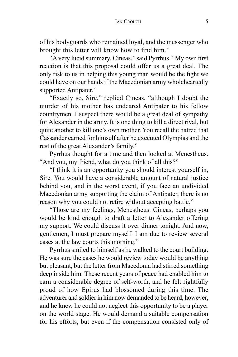#### IAN CROUCH 5

of his bodyguards who remained loyal, and the messenger who brought this letter will know how to find him."

"A very lucid summary, Cineas," said Pyrrhus. "My own first reaction is that this proposal could offer us a great deal. The only risk to us in helping this young man would be the fight we could have on our hands if the Macedonian army wholeheartedly supported Antipater."

"Exactly so, Sire," replied Cineas, "although I doubt the murder of his mother has endeared Antipater to his fellow countrymen. I suspect there would be a great deal of sympathy for Alexander in the army. It is one thing to kill a direct rival, but quite another to kill one's own mother. You recall the hatred that Cassander earned for himself after he executed Olympias and the rest of the great Alexander's family."

Pyrrhus thought for a time and then looked at Menestheus. "And you, my friend, what do you think of all this?"

"I think it is an opportunity you should interest yourself in, Sire. You would have a considerable amount of natural justice behind you, and in the worst event, if you face an undivided Macedonian army supporting the claim of Antipater, there is no reason why you could not retire without accepting battle."

"Those are my feelings, Menestheus. Cineas, perhaps you would be kind enough to draft a letter to Alexander offering my support. We could discuss it over dinner tonight. And now, gentlemen, I must prepare myself. I am due to review several cases at the law courts this morning."

Pyrrhus smiled to himself as he walked to the court building. He was sure the cases he would review today would be anything but pleasant, but the letter from Macedonia had stirred something deep inside him. These recent years of peace had enabled him to earn a considerable degree of self-worth, and he felt rightfully proud of how Epirus had blossomed during this time. The adventurer and soldier in him now demanded to be heard, however, and he knew he could not neglect this opportunity to be a player on the world stage. He would demand a suitable compensation for his efforts, but even if the compensation consisted only of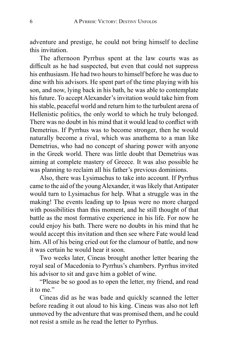adventure and prestige, he could not bring himself to decline this invitation.

The afternoon Pyrrhus spent at the law courts was as difficult as he had suspected, but even that could not suppress his enthusiasm. He had two hours to himself before he was due to dine with his advisors. He spent part of the time playing with his son, and now, lying back in his bath, he was able to contemplate his future. To accept Alexander's invitation would take him from his stable, peaceful world and return him to the turbulent arena of Hellenistic politics, the only world to which he truly belonged. There was no doubt in his mind that it would lead to conflict with Demetrius. If Pyrrhus was to become stronger, then he would naturally become a rival, which was anathema to a man like Demetrius, who had no concept of sharing power with anyone in the Greek world. There was little doubt that Demetrius was aiming at complete mastery of Greece. It was also possible he was planning to reclaim all his father's previous dominions.

Also, there was Lysimachus to take into account. If Pyrrhus came to the aid of the young Alexander, it was likely that Antipater would turn to Lysimachus for help. What a struggle was in the making! The events leading up to Ipsus were no more charged with possibilities than this moment, and he still thought of that battle as the most formative experience in his life. For now he could enjoy his bath. There were no doubts in his mind that he would accept this invitation and then see where Fate would lead him. All of his being cried out for the clamour of battle, and now it was certain he would hear it soon.

Two weeks later, Cineas brought another letter bearing the royal seal of Macedonia to Pyrrhus's chambers. Pyrrhus invited his advisor to sit and gave him a goblet of wine.

"Please be so good as to open the letter, my friend, and read it to me."

Cineas did as he was bade and quickly scanned the letter before reading it out aloud to his king. Cineas was also not left unmoved by the adventure that was promised them, and he could not resist a smile as he read the letter to Pyrrhus.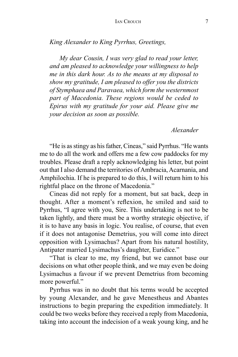#### *King Alexander to King Pyrrhus, Greetings,*

*My dear Cousin, I was very glad to read your letter, and am pleased to acknowledge your willingness to help me in this dark hour. As to the means at my disposal to show my gratitude, I am pleased to offer you the districts of Stymphaea and Paravaea, which form the westernmost part of Macedonia. These regions would be ceded to Epirus with my gratitude for your aid. Please give me your decision as soon as possible.*

#### *Alexander*

"He is as stingy as his father, Cineas," said Pyrrhus. "He wants me to do all the work and offers me a few cow paddocks for my troubles. Please draft a reply acknowledging his letter, but point out that I also demand the territories of Ambracia, Acarnania, and Amphilochia. If he is prepared to do this, I will return him to his rightful place on the throne of Macedonia."

Cineas did not reply for a moment, but sat back, deep in thought. After a moment's reflexion, he smiled and said to Pyrrhus, "I agree with you, Sire. This undertaking is not to be taken lightly, and there must be a worthy strategic objective, if it is to have any basis in logic. You realise, of course, that even if it does not antagonise Demetrius, you will come into direct opposition with Lysimachus? Apart from his natural hostility, Antipater married Lysimachus's daughter, Euridice."

"That is clear to me, my friend, but we cannot base our decisions on what other people think, and we may even be doing Lysimachus a favour if we prevent Demetrius from becoming more powerful."

Pyrrhus was in no doubt that his terms would be accepted by young Alexander, and he gave Menestheus and Abantes instructions to begin preparing the expedition immediately. It could be two weeks before they received a reply from Macedonia, taking into account the indecision of a weak young king, and he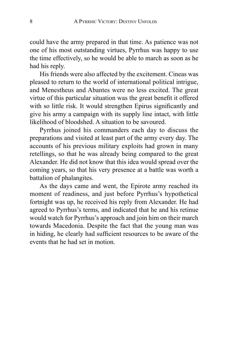could have the army prepared in that time. As patience was not one of his most outstanding virtues, Pyrrhus was happy to use the time effectively, so he would be able to march as soon as he had his reply.

His friends were also affected by the excitement. Cineas was pleased to return to the world of international political intrigue, and Menestheus and Abantes were no less excited. The great virtue of this particular situation was the great benefit it offered with so little risk. It would strengthen Epirus significantly and give his army a campaign with its supply line intact, with little likelihood of bloodshed. A situation to be savoured.

Pyrrhus joined his commanders each day to discuss the preparations and visited at least part of the army every day. The accounts of his previous military exploits had grown in many retellings, so that he was already being compared to the great Alexander. He did not know that this idea would spread over the coming years, so that his very presence at a battle was worth a battalion of phalangites.

As the days came and went, the Epirote army reached its moment of readiness, and just before Pyrrhus's hypothetical fortnight was up, he received his reply from Alexander. He had agreed to Pyrrhus's terms, and indicated that he and his retinue would watch for Pyrrhus's approach and join him on their march towards Macedonia. Despite the fact that the young man was in hiding, he clearly had sufficient resources to be aware of the events that he had set in motion.